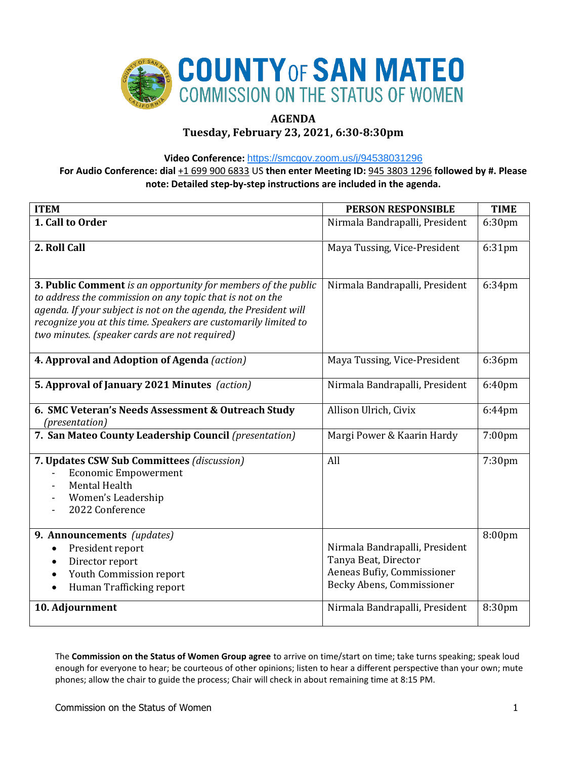

# **AGENDA**

**Tuesday, February 23, 2021, 6:30-8:30pm**

**Video Conference:** <https://smcgov.zoom.us/j/94538031296>

**For Audio Conference: dial** +1 699 900 6833 US **then enter Meeting ID:** 945 3803 1296 **followed by #. Please note: Detailed step-by-step instructions are included in the agenda.**

| <b>ITEM</b>                                                      | <b>PERSON RESPONSIBLE</b>      | <b>TIME</b> |
|------------------------------------------------------------------|--------------------------------|-------------|
| 1. Call to Order                                                 | Nirmala Bandrapalli, President | 6:30pm      |
|                                                                  |                                |             |
| 2. Roll Call                                                     | Maya Tussing, Vice-President   | 6:31pm      |
|                                                                  |                                |             |
| 3. Public Comment is an opportunity for members of the public    | Nirmala Bandrapalli, President | 6:34pm      |
| to address the commission on any topic that is not on the        |                                |             |
| agenda. If your subject is not on the agenda, the President will |                                |             |
| recognize you at this time. Speakers are customarily limited to  |                                |             |
| two minutes. (speaker cards are not required)                    |                                |             |
| 4. Approval and Adoption of Agenda (action)                      | Maya Tussing, Vice-President   | 6:36pm      |
|                                                                  |                                |             |
| 5. Approval of January 2021 Minutes (action)                     | Nirmala Bandrapalli, President | 6:40pm      |
| 6. SMC Veteran's Needs Assessment & Outreach Study               | Allison Ulrich, Civix          | 6:44pm      |
| (presentation)                                                   |                                |             |
| 7. San Mateo County Leadership Council (presentation)            | Margi Power & Kaarin Hardy     | $7:00$ pm   |
| 7. Updates CSW Sub Committees (discussion)                       | All                            | 7:30pm      |
| <b>Economic Empowerment</b>                                      |                                |             |
| Mental Health                                                    |                                |             |
| Women's Leadership                                               |                                |             |
| 2022 Conference                                                  |                                |             |
| 9. Announcements (updates)                                       |                                | 8:00pm      |
| President report<br>$\bullet$                                    | Nirmala Bandrapalli, President |             |
| Director report<br>$\bullet$                                     | Tanya Beat, Director           |             |
| Youth Commission report<br>$\bullet$                             | Aeneas Bufiy, Commissioner     |             |
| Human Trafficking report                                         | Becky Abens, Commissioner      |             |
| 10. Adjournment                                                  | Nirmala Bandrapalli, President | 8:30pm      |
|                                                                  |                                |             |

The **Commission on the Status of Women Group agree** to arrive on time/start on time; take turns speaking; speak loud enough for everyone to hear; be courteous of other opinions; listen to hear a different perspective than your own; mute phones; allow the chair to guide the process; Chair will check in about remaining time at 8:15 PM.